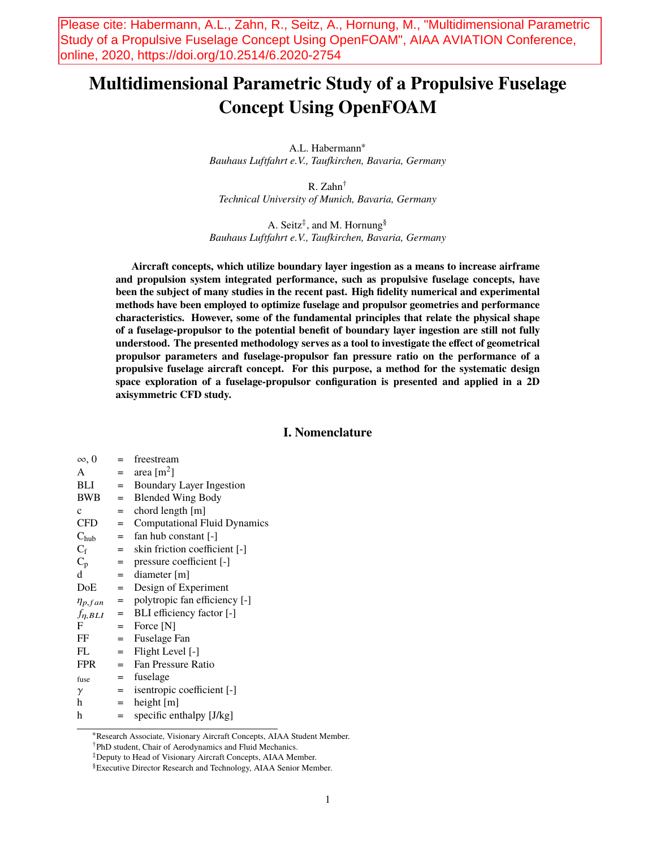Please cite: Habermann, A.L., Zahn, R., Seitz, A., Hornung, M., "Multidimensional Parametric Study of a Propulsive Fuselage Concept Using OpenFOAM", AIAA AVIATION Conference, online, 2020, https://doi.org/10.2514/6.2020-2754

# **Multidimensional Parametric Study of a Propulsive Fuselage Concept Using OpenFOAM**

A.L. Habermann<sup>∗</sup> *Bauhaus Luftfahrt e.V., Taufkirchen, Bavaria, Germany*

R. Zahn† *Technical University of Munich, Bavaria, Germany*

A. Seitz<sup>‡</sup>, and M. Hornung<sup>§</sup> *Bauhaus Luftfahrt e.V., Taufkirchen, Bavaria, Germany*

**Aircraft concepts, which utilize boundary layer ingestion as a means to increase airframe and propulsion system integrated performance, such as propulsive fuselage concepts, have been the subject of many studies in the recent past. High fidelity numerical and experimental methods have been employed to optimize fuselage and propulsor geometries and performance characteristics. However, some of the fundamental principles that relate the physical shape of a fuselage-propulsor to the potential benefit of boundary layer ingestion are still not fully understood. The presented methodology serves as a tool to investigate the effect of geometrical propulsor parameters and fuselage-propulsor fan pressure ratio on the performance of a propulsive fuselage aircraft concept. For this purpose, a method for the systematic design space exploration of a fuselage-propulsor configuration is presented and applied in a 2D axisymmetric CFD study.**

#### **I. Nomenclature**

| $\infty, 0$      | $=$ | freestream                                      |
|------------------|-----|-------------------------------------------------|
| A                |     | $=$ area [m <sup>2</sup> ]                      |
| BLI              | $=$ | <b>Boundary Layer Ingestion</b>                 |
| BWB              | $=$ | <b>Blended Wing Body</b>                        |
| $\mathbf c$      | $=$ | chord length [m]                                |
| CFD              | $=$ | <b>Computational Fluid Dynamics</b>             |
| $C_{\text{hub}}$ | $=$ | fan hub constant [-]                            |
| $C_f$            |     | $=$ skin friction coefficient $\lceil - \rceil$ |
| $C_p$            |     | = pressure coefficient [-]                      |
| d                | $=$ | diameter [m]                                    |
| DoE              | $=$ | Design of Experiment                            |
| $\eta_{p,fan}$   |     | $=$ polytropic fan efficiency $\lceil - \rceil$ |
| $f_{\eta, BLI}$  | $=$ | BLI efficiency factor [-]                       |
| F                | $=$ | Force [N]                                       |
| FF               | $=$ | Fuselage Fan                                    |
| FL               | $=$ | Flight Level [-]                                |
| <b>FPR</b>       |     | $=$ Fan Pressure Ratio                          |
| fuse             | $=$ | fuselage                                        |
| $\gamma$         | $=$ | isentropic coefficient [-]                      |
| h                | $=$ | height [m]                                      |
| h                | $=$ | specific enthalpy [J/kg]                        |

<sup>∗</sup>Research Associate, Visionary Aircraft Concepts, AIAA Student Member.

<sup>†</sup>PhD student, Chair of Aerodynamics and Fluid Mechanics.

<sup>‡</sup>Deputy to Head of Visionary Aircraft Concepts, AIAA Member.

<sup>§</sup>Executive Director Research and Technology, AIAA Senior Member.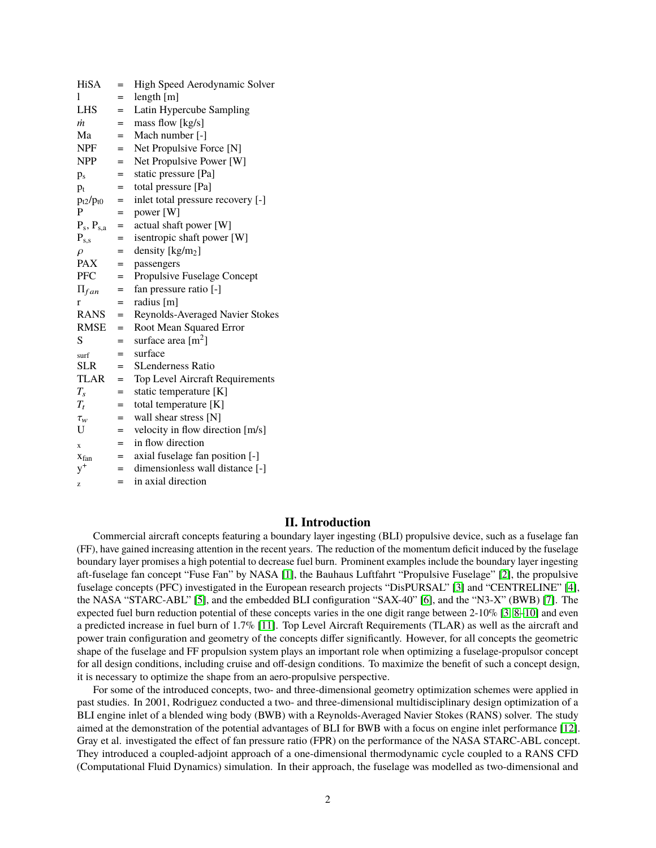| $=$ | High Speed Aerodynamic Solver         |  |  |  |
|-----|---------------------------------------|--|--|--|
| $=$ | length $[m]$                          |  |  |  |
| $=$ | Latin Hypercube Sampling              |  |  |  |
| =   | mass flow $\lceil \text{kg/s} \rceil$ |  |  |  |
| $=$ | Mach number [-]                       |  |  |  |
| =   | Net Propulsive Force [N]              |  |  |  |
| =   | Net Propulsive Power [W]              |  |  |  |
| $=$ | static pressure [Pa]                  |  |  |  |
| $=$ | total pressure [Pa]                   |  |  |  |
| =   | inlet total pressure recovery [-]     |  |  |  |
| $=$ | power [W]                             |  |  |  |
| =   | actual shaft power [W]                |  |  |  |
| =   | isentropic shaft power [W]            |  |  |  |
| =   | density [kg/m <sub>2</sub> ]          |  |  |  |
| $=$ | passengers                            |  |  |  |
| =   | Propulsive Fuselage Concept           |  |  |  |
| =   | fan pressure ratio [-]                |  |  |  |
| $=$ | radius [m]                            |  |  |  |
| $=$ | Reynolds-Averaged Navier Stokes       |  |  |  |
| =   | Root Mean Squared Error               |  |  |  |
| $=$ | surface area $\lceil m^2 \rceil$      |  |  |  |
| $=$ | surface                               |  |  |  |
| =   | <b>SLenderness Ratio</b>              |  |  |  |
| $=$ | Top Level Aircraft Requirements       |  |  |  |
| $=$ | static temperature [K]                |  |  |  |
| $=$ | total temperature [K]                 |  |  |  |
| =   | wall shear stress [N]                 |  |  |  |
| =   | velocity in flow direction [m/s]      |  |  |  |
| $=$ | in flow direction                     |  |  |  |
| =   | axial fuselage fan position [-]       |  |  |  |
| $=$ | dimensionless wall distance [-]       |  |  |  |
| $=$ | in axial direction                    |  |  |  |
|     |                                       |  |  |  |

# **II. Introduction**

Commercial aircraft concepts featuring a boundary layer ingesting (BLI) propulsive device, such as a fuselage fan (FF), have gained increasing attention in the recent years. The reduction of the momentum deficit induced by the fuselage boundary layer promises a high potential to decrease fuel burn. Prominent examples include the boundary layer ingesting aft-fuselage fan concept "Fuse Fan" by NASA [\[1\]](#page-15-0), the Bauhaus Luftfahrt "Propulsive Fuselage" [\[2\]](#page-15-1), the propulsive fuselage concepts (PFC) investigated in the European research projects "DisPURSAL" [\[3\]](#page-15-2) and "CENTRELINE" [\[4\]](#page-16-0), the NASA "STARC-ABL" [\[5\]](#page-16-1), and the embedded BLI configuration "SAX-40" [\[6\]](#page-16-2), and the "N3-X" (BWB) [\[7\]](#page-16-3). The expected fuel burn reduction potential of these concepts varies in the one digit range between  $2-10\%$  [\[3,](#page-15-2) [8–](#page-16-4)[10\]](#page-16-5) and even a predicted increase in fuel burn of 1.7% [\[11\]](#page-16-6). Top Level Aircraft Requirements (TLAR) as well as the aircraft and power train configuration and geometry of the concepts differ significantly. However, for all concepts the geometric shape of the fuselage and FF propulsion system plays an important role when optimizing a fuselage-propulsor concept for all design conditions, including cruise and off-design conditions. To maximize the benefit of such a concept design, it is necessary to optimize the shape from an aero-propulsive perspective.

For some of the introduced concepts, two- and three-dimensional geometry optimization schemes were applied in past studies. In 2001, Rodriguez conducted a two- and three-dimensional multidisciplinary design optimization of a BLI engine inlet of a blended wing body (BWB) with a Reynolds-Averaged Navier Stokes (RANS) solver. The study aimed at the demonstration of the potential advantages of BLI for BWB with a focus on engine inlet performance [\[12\]](#page-16-7). Gray et al. investigated the effect of fan pressure ratio (FPR) on the performance of the NASA STARC-ABL concept. They introduced a coupled-adjoint approach of a one-dimensional thermodynamic cycle coupled to a RANS CFD (Computational Fluid Dynamics) simulation. In their approach, the fuselage was modelled as two-dimensional and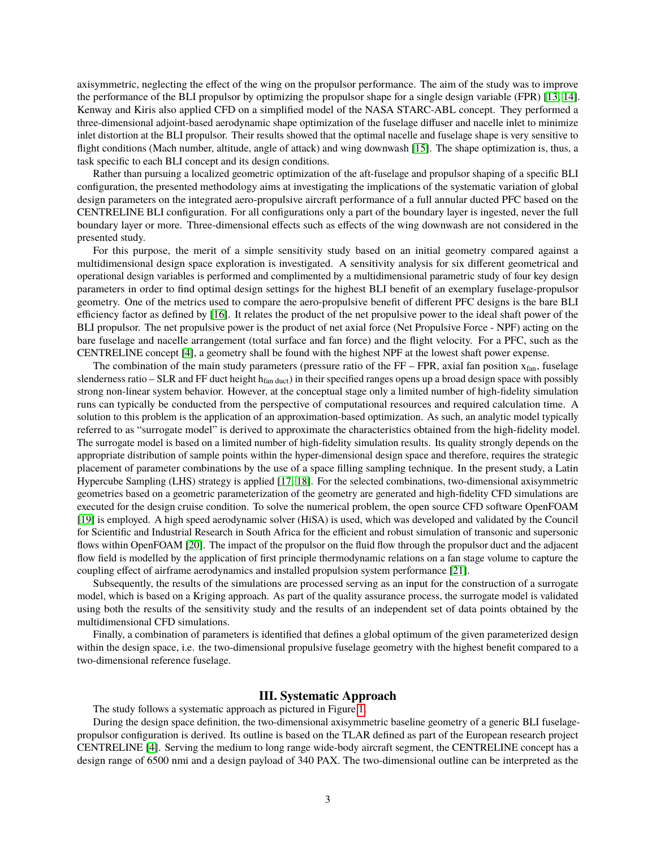axisymmetric, neglecting the effect of the wing on the propulsor performance. The aim of the study was to improve the performance of the BLI propulsor by optimizing the propulsor shape for a single design variable (FPR) [\[13,](#page-16-8) [14\]](#page-16-9). Kenway and Kiris also applied CFD on a simplified model of the NASA STARC-ABL concept. They performed a three-dimensional adjoint-based aerodynamic shape optimization of the fuselage diffuser and nacelle inlet to minimize inlet distortion at the BLI propulsor. Their results showed that the optimal nacelle and fuselage shape is very sensitive to flight conditions (Mach number, altitude, angle of attack) and wing downwash [\[15\]](#page-16-10). The shape optimization is, thus, a task specific to each BLI concept and its design conditions.

Rather than pursuing a localized geometric optimization of the aft-fuselage and propulsor shaping of a specific BLI configuration, the presented methodology aims at investigating the implications of the systematic variation of global design parameters on the integrated aero-propulsive aircraft performance of a full annular ducted PFC based on the CENTRELINE BLI configuration. For all configurations only a part of the boundary layer is ingested, never the full boundary layer or more. Three-dimensional effects such as effects of the wing downwash are not considered in the presented study.

For this purpose, the merit of a simple sensitivity study based on an initial geometry compared against a multidimensional design space exploration is investigated. A sensitivity analysis for six different geometrical and operational design variables is performed and complimented by a multidimensional parametric study of four key design parameters in order to find optimal design settings for the highest BLI benefit of an exemplary fuselage-propulsor geometry. One of the metrics used to compare the aero-propulsive benefit of different PFC designs is the bare BLI efficiency factor as defined by [\[16\]](#page-16-11). It relates the product of the net propulsive power to the ideal shaft power of the BLI propulsor. The net propulsive power is the product of net axial force (Net Propulsive Force - NPF) acting on the bare fuselage and nacelle arrangement (total surface and fan force) and the flight velocity. For a PFC, such as the CENTRELINE concept [\[4\]](#page-16-0), a geometry shall be found with the highest NPF at the lowest shaft power expense.

The combination of the main study parameters (pressure ratio of the  $FF - FPR$ , axial fan position  $x_{fan}$ , fuselage slenderness ratio – SLR and FF duct height  $h_{fan \text{ duct}}$ ) in their specified ranges opens up a broad design space with possibly strong non-linear system behavior. However, at the conceptual stage only a limited number of high-fidelity simulation runs can typically be conducted from the perspective of computational resources and required calculation time. A solution to this problem is the application of an approximation-based optimization. As such, an analytic model typically referred to as "surrogate model" is derived to approximate the characteristics obtained from the high-fidelity model. The surrogate model is based on a limited number of high-fidelity simulation results. Its quality strongly depends on the appropriate distribution of sample points within the hyper-dimensional design space and therefore, requires the strategic placement of parameter combinations by the use of a space filling sampling technique. In the present study, a Latin Hypercube Sampling (LHS) strategy is applied [\[17,](#page-16-12) [18\]](#page-16-13). For the selected combinations, two-dimensional axisymmetric geometries based on a geometric parameterization of the geometry are generated and high-fidelity CFD simulations are executed for the design cruise condition. To solve the numerical problem, the open source CFD software OpenFOAM [\[19\]](#page-16-14) is employed. A high speed aerodynamic solver (HiSA) is used, which was developed and validated by the Council for Scientific and Industrial Research in South Africa for the efficient and robust simulation of transonic and supersonic flows within OpenFOAM [\[20\]](#page-16-15). The impact of the propulsor on the fluid flow through the propulsor duct and the adjacent flow field is modelled by the application of first principle thermodynamic relations on a fan stage volume to capture the coupling effect of airframe aerodynamics and installed propulsion system performance [\[21\]](#page-16-16).

Subsequently, the results of the simulations are processed serving as an input for the construction of a surrogate model, which is based on a Kriging approach. As part of the quality assurance process, the surrogate model is validated using both the results of the sensitivity study and the results of an independent set of data points obtained by the multidimensional CFD simulations.

Finally, a combination of parameters is identified that defines a global optimum of the given parameterized design within the design space, i.e. the two-dimensional propulsive fuselage geometry with the highest benefit compared to a two-dimensional reference fuselage.

# **III. Systematic Approach**

The study follows a systematic approach as pictured in Figure [1.](#page-3-0)

During the design space definition, the two-dimensional axisymmetric baseline geometry of a generic BLI fuselagepropulsor configuration is derived. Its outline is based on the TLAR defined as part of the European research project CENTRELINE [\[4\]](#page-16-0). Serving the medium to long range wide-body aircraft segment, the CENTRELINE concept has a design range of 6500 nmi and a design payload of 340 PAX. The two-dimensional outline can be interpreted as the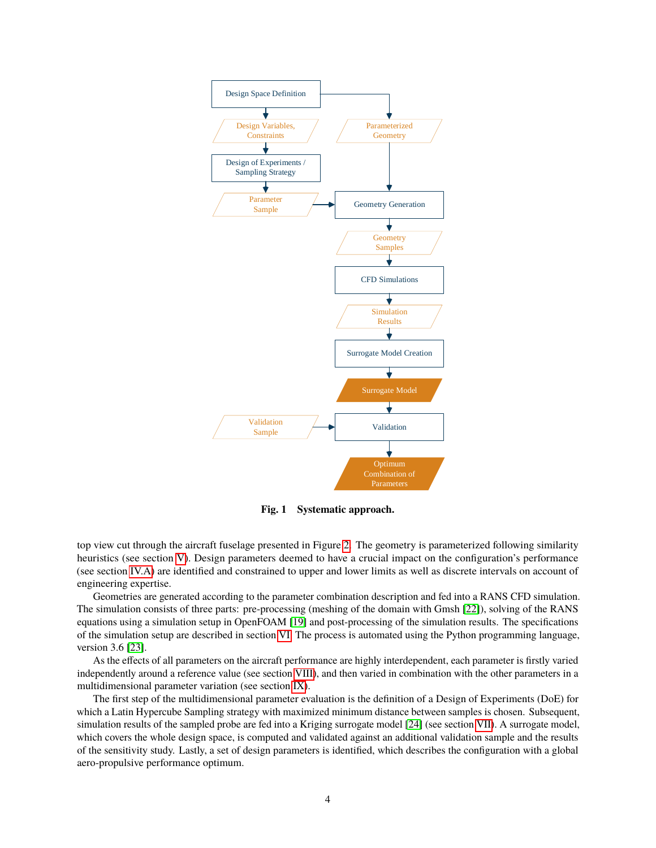<span id="page-3-0"></span>

**Fig. 1 Systematic approach.**

top view cut through the aircraft fuselage presented in Figure [2.](#page-4-0) The geometry is parameterized following similarity heuristics (see section [V\)](#page-6-0). Design parameters deemed to have a crucial impact on the configuration's performance (see section [IV.A\)](#page-4-1) are identified and constrained to upper and lower limits as well as discrete intervals on account of engineering expertise.

Geometries are generated according to the parameter combination description and fed into a RANS CFD simulation. The simulation consists of three parts: pre-processing (meshing of the domain with Gmsh [\[22\]](#page-16-17)), solving of the RANS equations using a simulation setup in OpenFOAM [\[19\]](#page-16-14) and post-processing of the simulation results. The specifications of the simulation setup are described in section [VI.](#page-7-0) The process is automated using the Python programming language, version 3.6 [\[23\]](#page-16-18).

As the effects of all parameters on the aircraft performance are highly interdependent, each parameter is firstly varied independently around a reference value (see section [VIII\)](#page-8-0), and then varied in combination with the other parameters in a multidimensional parameter variation (see section [IX\)](#page-10-0).

The first step of the multidimensional parameter evaluation is the definition of a Design of Experiments (DoE) for which a Latin Hypercube Sampling strategy with maximized minimum distance between samples is chosen. Subsequent, simulation results of the sampled probe are fed into a Kriging surrogate model [\[24\]](#page-17-0) (see section [VII\)](#page-8-1). A surrogate model, which covers the whole design space, is computed and validated against an additional validation sample and the results of the sensitivity study. Lastly, a set of design parameters is identified, which describes the configuration with a global aero-propulsive performance optimum.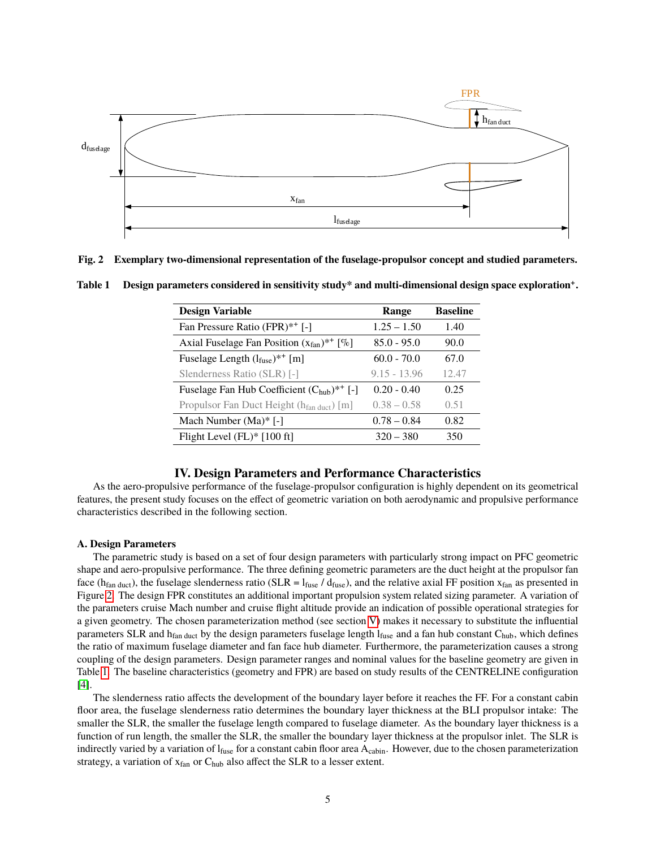<span id="page-4-0"></span>

**Fig. 2 Exemplary two-dimensional representation of the fuselage-propulsor concept and studied parameters.**

| <b>Design Variable</b>                                   | Range          | <b>Baseline</b> |
|----------------------------------------------------------|----------------|-----------------|
| Fan Pressure Ratio (FPR)** [-]                           | $1.25 - 1.50$  | 1.40            |
| Axial Fuselage Fan Position $(x_{fan})^{*+}$ [%]         | $85.0 - 95.0$  | 90.0            |
| Fuselage Length $(l_{\text{fuse}})^{**}$ [m]             | $60.0 - 70.0$  | 67.0            |
| Slenderness Ratio (SLR) [-]                              | $9.15 - 13.96$ | 12.47           |
| Fuselage Fan Hub Coefficient $(C_{\text{hub}})^{*+}$ [-] | $0.20 - 0.40$  | 0.25            |
| Propulsor Fan Duct Height (h <sub>fan duct</sub> ) [m]   | $0.38 - 0.58$  | 0.51            |
| Mach Number (Ma)* [-]                                    | $0.78 - 0.84$  | 0.82            |
| Flight Level $(FL)*$ [100 ft]                            | $320 - 380$    | 350             |

<span id="page-4-2"></span>**Table 1 Design parameters considered in sensitivity study\* and multi-dimensional design space exploration<sup>+</sup> .**

# **IV. Design Parameters and Performance Characteristics**

As the aero-propulsive performance of the fuselage-propulsor configuration is highly dependent on its geometrical features, the present study focuses on the effect of geometric variation on both aerodynamic and propulsive performance characteristics described in the following section.

#### <span id="page-4-1"></span>**A. Design Parameters**

The parametric study is based on a set of four design parameters with particularly strong impact on PFC geometric shape and aero-propulsive performance. The three defining geometric parameters are the duct height at the propulsor fan face ( $h_{fan \, duct}$ ), the fuselage slenderness ratio ( $SLR = I_{fuse} / d_{fuse}$ ), and the relative axial FF position  $x_{fan}$  as presented in Figure [2.](#page-4-0) The design FPR constitutes an additional important propulsion system related sizing parameter. A variation of the parameters cruise Mach number and cruise flight altitude provide an indication of possible operational strategies for a given geometry. The chosen parameterization method (see section [V\)](#page-6-0) makes it necessary to substitute the influential parameters SLR and  $h_{fan \, duct}$  by the design parameters fuselage length  $l_{fuse}$  and a fan hub constant  $C_{hub}$ , which defines the ratio of maximum fuselage diameter and fan face hub diameter. Furthermore, the parameterization causes a strong coupling of the design parameters. Design parameter ranges and nominal values for the baseline geometry are given in Table [1.](#page-4-2) The baseline characteristics (geometry and FPR) are based on study results of the CENTRELINE configuration [\[4\]](#page-16-0).

The slenderness ratio affects the development of the boundary layer before it reaches the FF. For a constant cabin floor area, the fuselage slenderness ratio determines the boundary layer thickness at the BLI propulsor intake: The smaller the SLR, the smaller the fuselage length compared to fuselage diameter. As the boundary layer thickness is a function of run length, the smaller the SLR, the smaller the boundary layer thickness at the propulsor inlet. The SLR is indirectly varied by a variation of  $l_{fuse}$  for a constant cabin floor area  $A_{cabin}$ . However, due to the chosen parameterization strategy, a variation of  $x_{fan}$  or  $C_{hub}$  also affect the SLR to a lesser extent.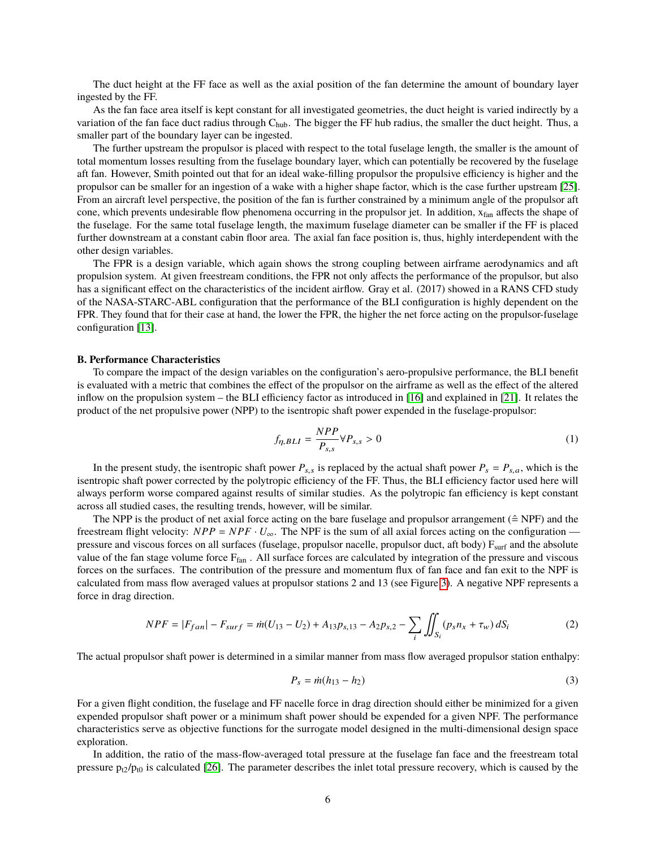The duct height at the FF face as well as the axial position of the fan determine the amount of boundary layer ingested by the FF.

As the fan face area itself is kept constant for all investigated geometries, the duct height is varied indirectly by a variation of the fan face duct radius through  $C_{\text{hub}}$ . The bigger the FF hub radius, the smaller the duct height. Thus, a smaller part of the boundary layer can be ingested.

The further upstream the propulsor is placed with respect to the total fuselage length, the smaller is the amount of total momentum losses resulting from the fuselage boundary layer, which can potentially be recovered by the fuselage aft fan. However, Smith pointed out that for an ideal wake-filling propulsor the propulsive efficiency is higher and the propulsor can be smaller for an ingestion of a wake with a higher shape factor, which is the case further upstream [\[25\]](#page-17-1). From an aircraft level perspective, the position of the fan is further constrained by a minimum angle of the propulsor aft cone, which prevents undesirable flow phenomena occurring in the propulsor jet. In addition,  $x_{fan}$  affects the shape of the fuselage. For the same total fuselage length, the maximum fuselage diameter can be smaller if the FF is placed further downstream at a constant cabin floor area. The axial fan face position is, thus, highly interdependent with the other design variables.

The FPR is a design variable, which again shows the strong coupling between airframe aerodynamics and aft propulsion system. At given freestream conditions, the FPR not only affects the performance of the propulsor, but also has a significant effect on the characteristics of the incident airflow. Gray et al. (2017) showed in a RANS CFD study of the NASA-STARC-ABL configuration that the performance of the BLI configuration is highly dependent on the FPR. They found that for their case at hand, the lower the FPR, the higher the net force acting on the propulsor-fuselage configuration [\[13\]](#page-16-8).

#### **B. Performance Characteristics**

To compare the impact of the design variables on the configuration's aero-propulsive performance, the BLI benefit is evaluated with a metric that combines the effect of the propulsor on the airframe as well as the effect of the altered inflow on the propulsion system – the BLI efficiency factor as introduced in [\[16\]](#page-16-11) and explained in [\[21\]](#page-16-16). It relates the product of the net propulsive power (NPP) to the isentropic shaft power expended in the fuselage-propulsor:

$$
f_{\eta, BLI} = \frac{NPP}{P_{s,s}} \forall P_{s,s} > 0 \tag{1}
$$

In the present study, the isentropic shaft power  $P_{s,s}$  is replaced by the actual shaft power  $P_s = P_{s,a}$ , which is the isentropic shaft power corrected by the polytropic efficiency of the FF. Thus, the BLI efficiency factor used here will always perform worse compared against results of similar studies. As the polytropic fan efficiency is kept constant across all studied cases, the resulting trends, however, will be similar.

The NPP is the product of net axial force acting on the bare fuselage and propulsor arrangement  $(\hat{=}$  NPF) and the freestream flight velocity:  $NPP = NPF \cdot U_{\infty}$ . The NPF is the sum of all axial forces acting on the configuration pressure and viscous forces on all surfaces (fuselage, propulsor nacelle, propulsor duct, aft body)  $F_{\text{surf}}$  and the absolute value of the fan stage volume force  $F_{fan}$ . All surface forces are calculated by integration of the pressure and viscous forces on the surfaces. The contribution of the pressure and momentum flux of fan face and fan exit to the NPF is calculated from mass flow averaged values at propulsor stations 2 and 13 (see Figure [3\)](#page-6-1). A negative NPF represents a force in drag direction.

$$
NPF = |F_{fan}| - F_{surf} = \dot{m}(U_{13} - U_2) + A_{13}p_{s,13} - A_{2}p_{s,2} - \sum_{i} \iint_{S_i} (p_s n_x + \tau_w) dS_i
$$
 (2)

The actual propulsor shaft power is determined in a similar manner from mass flow averaged propulsor station enthalpy:

$$
P_s = \dot{m}(h_{13} - h_2) \tag{3}
$$

For a given flight condition, the fuselage and FF nacelle force in drag direction should either be minimized for a given expended propulsor shaft power or a minimum shaft power should be expended for a given NPF. The performance characteristics serve as objective functions for the surrogate model designed in the multi-dimensional design space exploration.

In addition, the ratio of the mass-flow-averaged total pressure at the fuselage fan face and the freestream total pressure  $p_{t2}/p_{t0}$  is calculated [\[26\]](#page-17-2). The parameter describes the inlet total pressure recovery, which is caused by the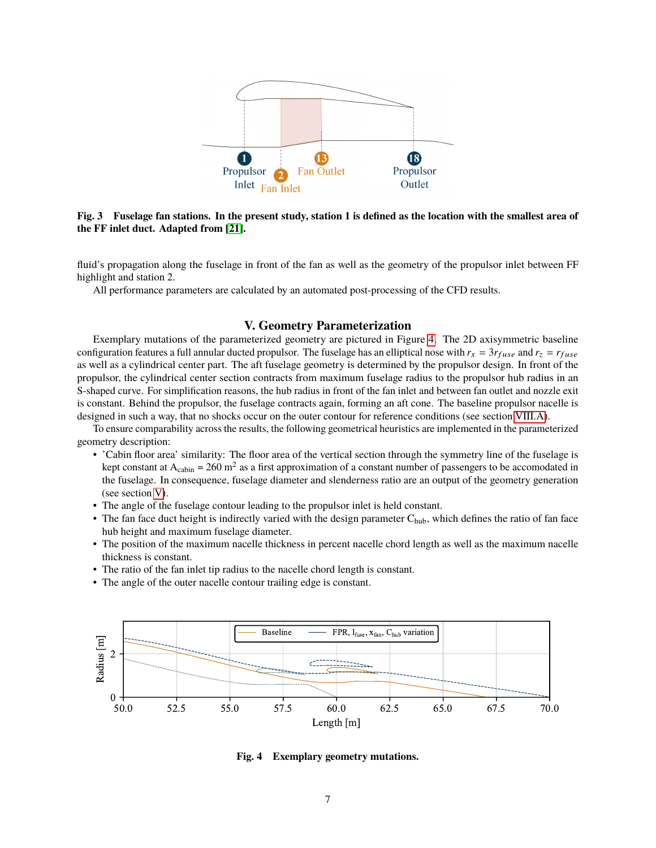<span id="page-6-1"></span>

**Fig. 3 Fuselage fan stations. In the present study, station 1 is defined as the location with the smallest area of the FF inlet duct. Adapted from [\[21\]](#page-16-16).**

fluid's propagation along the fuselage in front of the fan as well as the geometry of the propulsor inlet between FF highlight and station 2.

<span id="page-6-0"></span>All performance parameters are calculated by an automated post-processing of the CFD results.

# **V. Geometry Parameterization**

Exemplary mutations of the parameterized geometry are pictured in Figure [4.](#page-6-2) The 2D axisymmetric baseline configuration features a full annular ducted propulsor. The fuselage has an elliptical nose with  $r_x = 3r_{fuse}$  and  $r_z = r_{fuse}$ as well as a cylindrical center part. The aft fuselage geometry is determined by the propulsor design. In front of the propulsor, the cylindrical center section contracts from maximum fuselage radius to the propulsor hub radius in an S-shaped curve. For simplification reasons, the hub radius in front of the fan inlet and between fan outlet and nozzle exit is constant. Behind the propulsor, the fuselage contracts again, forming an aft cone. The baseline propulsor nacelle is designed in such a way, that no shocks occur on the outer contour for reference conditions (see section [VIII.A\)](#page-8-2).

To ensure comparability across the results, the following geometrical heuristics are implemented in the parameterized geometry description:

- 'Cabin floor area' similarity: The floor area of the vertical section through the symmetry line of the fuselage is kept constant at A<sub>cabin</sub> = 260 m<sup>2</sup> as a first approximation of a constant number of passengers to be accomodated in the fuselage. In consequence, fuselage diameter and slenderness ratio are an output of the geometry generation (see section [V\)](#page-6-0).
- The angle of the fuselage contour leading to the propulsor inlet is held constant.
- The fan face duct height is indirectly varied with the design parameter  $C_{\text{hub}}$ , which defines the ratio of fan face hub height and maximum fuselage diameter.
- The position of the maximum nacelle thickness in percent nacelle chord length as well as the maximum nacelle thickness is constant.
- The ratio of the fan inlet tip radius to the nacelle chord length is constant.
- The angle of the outer nacelle contour trailing edge is constant.

<span id="page-6-2"></span>

**Fig. 4 Exemplary geometry mutations.**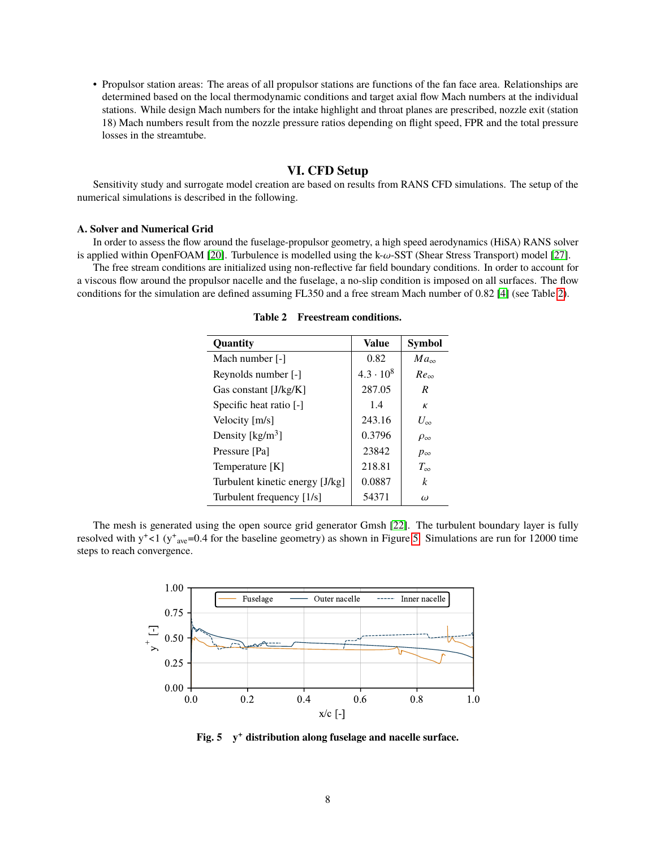• Propulsor station areas: The areas of all propulsor stations are functions of the fan face area. Relationships are determined based on the local thermodynamic conditions and target axial flow Mach numbers at the individual stations. While design Mach numbers for the intake highlight and throat planes are prescribed, nozzle exit (station 18) Mach numbers result from the nozzle pressure ratios depending on flight speed, FPR and the total pressure losses in the streamtube.

# **VI. CFD Setup**

<span id="page-7-0"></span>Sensitivity study and surrogate model creation are based on results from RANS CFD simulations. The setup of the numerical simulations is described in the following.

# **A. Solver and Numerical Grid**

In order to assess the flow around the fuselage-propulsor geometry, a high speed aerodynamics (HiSA) RANS solver is applied within OpenFOAM [\[20\]](#page-16-15). Turbulence is modelled using the k- $\omega$ -SST (Shear Stress Transport) model [\[27\]](#page-17-3).

<span id="page-7-1"></span>The free stream conditions are initialized using non-reflective far field boundary conditions. In order to account for a viscous flow around the propulsor nacelle and the fuselage, a no-slip condition is imposed on all surfaces. The flow conditions for the simulation are defined assuming FL350 and a free stream Mach number of 0.82 [\[4\]](#page-16-0) (see Table [2\)](#page-7-1).

| Quantity                        | <b>Value</b>     | Symbol           |
|---------------------------------|------------------|------------------|
| Mach number [-]                 | 0.82             | $Ma_{\infty}$    |
| Reynolds number [-]             | $4.3 \cdot 10^8$ | $Re_{\infty}$    |
| Gas constant [J/kg/K]           | 287.05           | $\boldsymbol{R}$ |
| Specific heat ratio [-]         | 1.4              | К                |
| Velocity [m/s]                  | 243.16           | $U_{\infty}$     |
| Density $[kg/m^3]$              | 0.3796           | $\rho_{\infty}$  |
| Pressure [Pa]                   | 23842            | $p_{\infty}$     |
| Temperature [K]                 | 218.81           | $T_{\infty}$     |
| Turbulent kinetic energy [J/kg] | 0.0887           | k                |
| Turbulent frequency [1/s]       | 54371            | $\omega$         |
|                                 |                  |                  |

**Table 2 Freestream conditions.**

<span id="page-7-2"></span>The mesh is generated using the open source grid generator Gmsh [\[22\]](#page-16-17). The turbulent boundary layer is fully resolved with  $y^+$ <1 ( $y^+$ <sub>ave</sub>=0.4 for the baseline geometry) as shown in Figure [5.](#page-7-2) Simulations are run for 12000 time steps to reach convergence.



**Fig. 5 y<sup>+</sup> distribution along fuselage and nacelle surface.**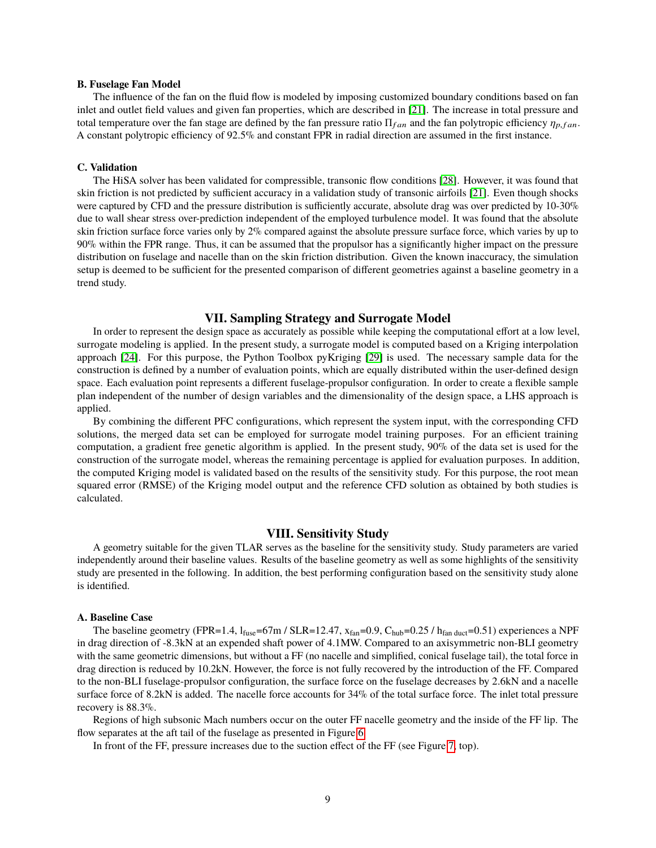#### **B. Fuselage Fan Model**

The influence of the fan on the fluid flow is modeled by imposing customized boundary conditions based on fan inlet and outlet field values and given fan properties, which are described in [\[21\]](#page-16-16). The increase in total pressure and total temperature over the fan stage are defined by the fan pressure ratio  $\Pi_{fan}$  and the fan polytropic efficiency  $\eta_{p, fan}$ . A constant polytropic efficiency of 92.5% and constant FPR in radial direction are assumed in the first instance.

#### **C. Validation**

The HiSA solver has been validated for compressible, transonic flow conditions [\[28\]](#page-17-4). However, it was found that skin friction is not predicted by sufficient accuracy in a validation study of transonic airfoils [\[21\]](#page-16-16). Even though shocks were captured by CFD and the pressure distribution is sufficiently accurate, absolute drag was over predicted by 10-30% due to wall shear stress over-prediction independent of the employed turbulence model. It was found that the absolute skin friction surface force varies only by 2% compared against the absolute pressure surface force, which varies by up to 90% within the FPR range. Thus, it can be assumed that the propulsor has a significantly higher impact on the pressure distribution on fuselage and nacelle than on the skin friction distribution. Given the known inaccuracy, the simulation setup is deemed to be sufficient for the presented comparison of different geometries against a baseline geometry in a trend study.

# **VII. Sampling Strategy and Surrogate Model**

<span id="page-8-1"></span>In order to represent the design space as accurately as possible while keeping the computational effort at a low level, surrogate modeling is applied. In the present study, a surrogate model is computed based on a Kriging interpolation approach [\[24\]](#page-17-0). For this purpose, the Python Toolbox pyKriging [\[29\]](#page-17-5) is used. The necessary sample data for the construction is defined by a number of evaluation points, which are equally distributed within the user-defined design space. Each evaluation point represents a different fuselage-propulsor configuration. In order to create a flexible sample plan independent of the number of design variables and the dimensionality of the design space, a LHS approach is applied.

By combining the different PFC configurations, which represent the system input, with the corresponding CFD solutions, the merged data set can be employed for surrogate model training purposes. For an efficient training computation, a gradient free genetic algorithm is applied. In the present study, 90% of the data set is used for the construction of the surrogate model, whereas the remaining percentage is applied for evaluation purposes. In addition, the computed Kriging model is validated based on the results of the sensitivity study. For this purpose, the root mean squared error (RMSE) of the Kriging model output and the reference CFD solution as obtained by both studies is calculated.

#### **VIII. Sensitivity Study**

<span id="page-8-0"></span>A geometry suitable for the given TLAR serves as the baseline for the sensitivity study. Study parameters are varied independently around their baseline values. Results of the baseline geometry as well as some highlights of the sensitivity study are presented in the following. In addition, the best performing configuration based on the sensitivity study alone is identified.

# <span id="page-8-2"></span>**A. Baseline Case**

The baseline geometry (FPR=1.4,  $l_{\text{fuse}}$ =67m / SLR=12.47,  $x_{\text{fan}}$ =0.9,  $C_{\text{hub}}$ =0.25 /  $h_{\text{fan duct}}$ =0.51) experiences a NPF in drag direction of -8.3kN at an expended shaft power of 4.1MW. Compared to an axisymmetric non-BLI geometry with the same geometric dimensions, but without a FF (no nacelle and simplified, conical fuselage tail), the total force in drag direction is reduced by 10.2kN. However, the force is not fully recovered by the introduction of the FF. Compared to the non-BLI fuselage-propulsor configuration, the surface force on the fuselage decreases by 2.6kN and a nacelle surface force of 8.2kN is added. The nacelle force accounts for 34% of the total surface force. The inlet total pressure recovery is 88.3%.

Regions of high subsonic Mach numbers occur on the outer FF nacelle geometry and the inside of the FF lip. The flow separates at the aft tail of the fuselage as presented in Figure [6.](#page-9-0)

In front of the FF, pressure increases due to the suction effect of the FF (see Figure [7,](#page-9-1) top).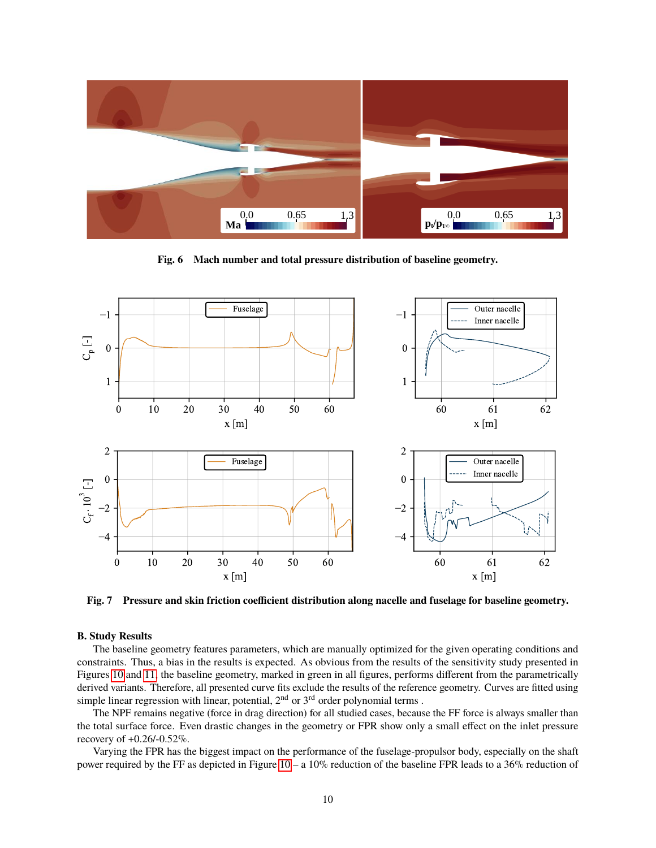<span id="page-9-0"></span>

**Fig. 6 Mach number and total pressure distribution of baseline geometry.**

<span id="page-9-1"></span>

**Fig. 7 Pressure and skin friction coefficient distribution along nacelle and fuselage for baseline geometry.**

## **B. Study Results**

The baseline geometry features parameters, which are manually optimized for the given operating conditions and constraints. Thus, a bias in the results is expected. As obvious from the results of the sensitivity study presented in Figures [10](#page-18-0) and [11,](#page-19-0) the baseline geometry, marked in green in all figures, performs different from the parametrically derived variants. Therefore, all presented curve fits exclude the results of the reference geometry. Curves are fitted using simple linear regression with linear, potential,  $2<sup>nd</sup>$  or  $3<sup>rd</sup>$  order polynomial terms .

The NPF remains negative (force in drag direction) for all studied cases, because the FF force is always smaller than the total surface force. Even drastic changes in the geometry or FPR show only a small effect on the inlet pressure recovery of +0.26/-0.52%.

Varying the FPR has the biggest impact on the performance of the fuselage-propulsor body, especially on the shaft power required by the FF as depicted in Figure  $10 - a \frac{10\%}{\text{reduction of}}$  for baseline FPR leads to a 36% reduction of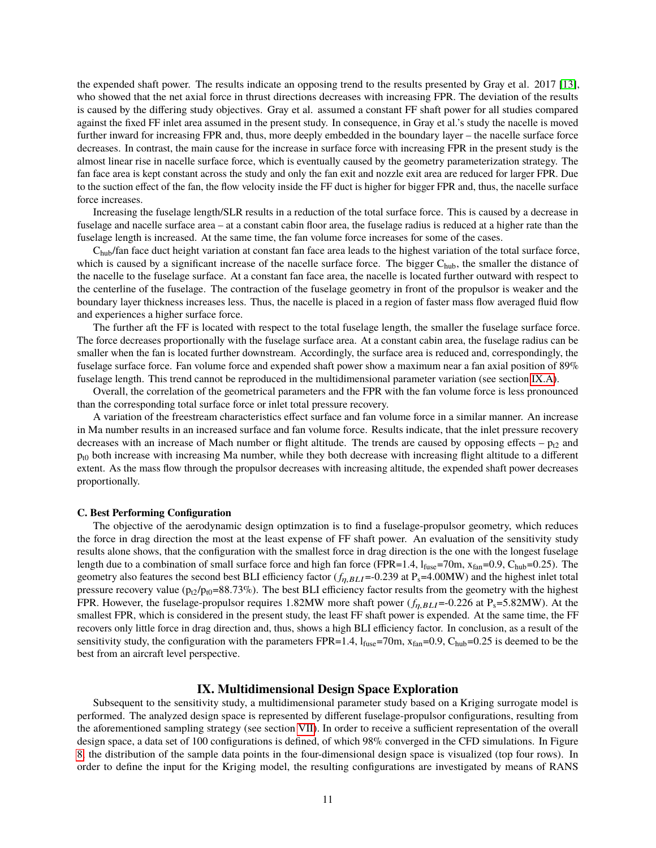the expended shaft power. The results indicate an opposing trend to the results presented by Gray et al. 2017 [\[13\]](#page-16-8), who showed that the net axial force in thrust directions decreases with increasing FPR. The deviation of the results is caused by the differing study objectives. Gray et al. assumed a constant FF shaft power for all studies compared against the fixed FF inlet area assumed in the present study. In consequence, in Gray et al.'s study the nacelle is moved further inward for increasing FPR and, thus, more deeply embedded in the boundary layer – the nacelle surface force decreases. In contrast, the main cause for the increase in surface force with increasing FPR in the present study is the almost linear rise in nacelle surface force, which is eventually caused by the geometry parameterization strategy. The fan face area is kept constant across the study and only the fan exit and nozzle exit area are reduced for larger FPR. Due to the suction effect of the fan, the flow velocity inside the FF duct is higher for bigger FPR and, thus, the nacelle surface force increases.

Increasing the fuselage length/SLR results in a reduction of the total surface force. This is caused by a decrease in fuselage and nacelle surface area – at a constant cabin floor area, the fuselage radius is reduced at a higher rate than the fuselage length is increased. At the same time, the fan volume force increases for some of the cases.

 $C_{\text{hub}}$ /fan face duct height variation at constant fan face area leads to the highest variation of the total surface force, which is caused by a significant increase of the nacelle surface force. The bigger  $C_{\text{hub}}$ , the smaller the distance of the nacelle to the fuselage surface. At a constant fan face area, the nacelle is located further outward with respect to the centerline of the fuselage. The contraction of the fuselage geometry in front of the propulsor is weaker and the boundary layer thickness increases less. Thus, the nacelle is placed in a region of faster mass flow averaged fluid flow and experiences a higher surface force.

The further aft the FF is located with respect to the total fuselage length, the smaller the fuselage surface force. The force decreases proportionally with the fuselage surface area. At a constant cabin area, the fuselage radius can be smaller when the fan is located further downstream. Accordingly, the surface area is reduced and, correspondingly, the fuselage surface force. Fan volume force and expended shaft power show a maximum near a fan axial position of 89% fuselage length. This trend cannot be reproduced in the multidimensional parameter variation (see section [IX.A\)](#page-12-0).

Overall, the correlation of the geometrical parameters and the FPR with the fan volume force is less pronounced than the corresponding total surface force or inlet total pressure recovery.

A variation of the freestream characteristics effect surface and fan volume force in a similar manner. An increase in Ma number results in an increased surface and fan volume force. Results indicate, that the inlet pressure recovery decreases with an increase of Mach number or flight altitude. The trends are caused by opposing effects –  $p_{12}$  and  $p_{t0}$  both increase with increasing Ma number, while they both decrease with increasing flight altitude to a different extent. As the mass flow through the propulsor decreases with increasing altitude, the expended shaft power decreases proportionally.

#### **C. Best Performing Configuration**

The objective of the aerodynamic design optimzation is to find a fuselage-propulsor geometry, which reduces the force in drag direction the most at the least expense of FF shaft power. An evaluation of the sensitivity study results alone shows, that the configuration with the smallest force in drag direction is the one with the longest fuselage length due to a combination of small surface force and high fan force (FPR=1.4,  $l_{\text{fuse}}$ =70m,  $x_{\text{fan}}$ =0.9,  $C_{\text{hub}}$ =0.25). The geometry also features the second best BLI efficiency factor  $(f_{n,BLI}=-0.239$  at P<sub>s</sub>=4.00MW) and the highest inlet total pressure recovery value  $(p_{12}/p_{10}=88.73\%)$ . The best BLI efficiency factor results from the geometry with the highest FPR. However, the fuselage-propulsor requires 1.82MW more shaft power  $(f_{n,BLI}$ =-0.226 at P<sub>s</sub>=5.82MW). At the smallest FPR, which is considered in the present study, the least FF shaft power is expended. At the same time, the FF recovers only little force in drag direction and, thus, shows a high BLI efficiency factor. In conclusion, as a result of the sensitivity study, the configuration with the parameters  $FPR=1.4$ ,  $I_{fuse}=70m$ ,  $x_{fan}=0.9$ ,  $C_{hub}=0.25$  is deemed to be the best from an aircraft level perspective.

## **IX. Multidimensional Design Space Exploration**

<span id="page-10-0"></span>Subsequent to the sensitivity study, a multidimensional parameter study based on a Kriging surrogate model is performed. The analyzed design space is represented by different fuselage-propulsor configurations, resulting from the aforementioned sampling strategy (see section [VII\)](#page-8-1). In order to receive a sufficient representation of the overall design space, a data set of 100 configurations is defined, of which 98% converged in the CFD simulations. In Figure [8,](#page-11-0) the distribution of the sample data points in the four-dimensional design space is visualized (top four rows). In order to define the input for the Kriging model, the resulting configurations are investigated by means of RANS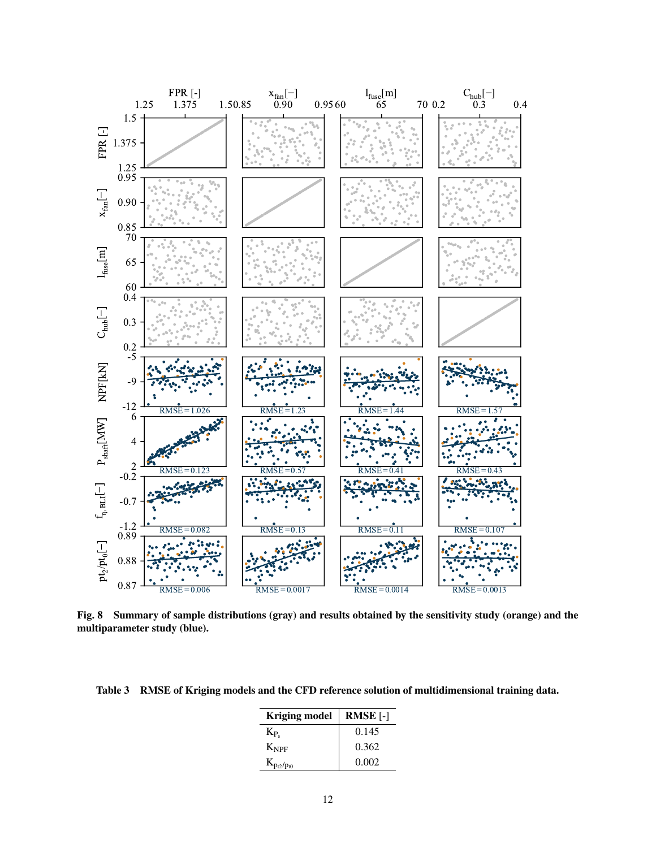<span id="page-11-0"></span>

**Fig. 8 Summary of sample distributions (gray) and results obtained by the sensitivity study (orange) and the multiparameter study (blue).**

<span id="page-11-1"></span>**Table 3 RMSE of Kriging models and the CFD reference solution of multidimensional training data.**

| <b>Kriging model</b> | <b>RMSE</b> $\lceil - \rceil$ |  |  |
|----------------------|-------------------------------|--|--|
| $K_{P_{c}}$          | 0.145                         |  |  |
| $K_{\rm NPF}$        | 0.362                         |  |  |
| $K_{p_{t2}/p_{t0}}$  | 0.002                         |  |  |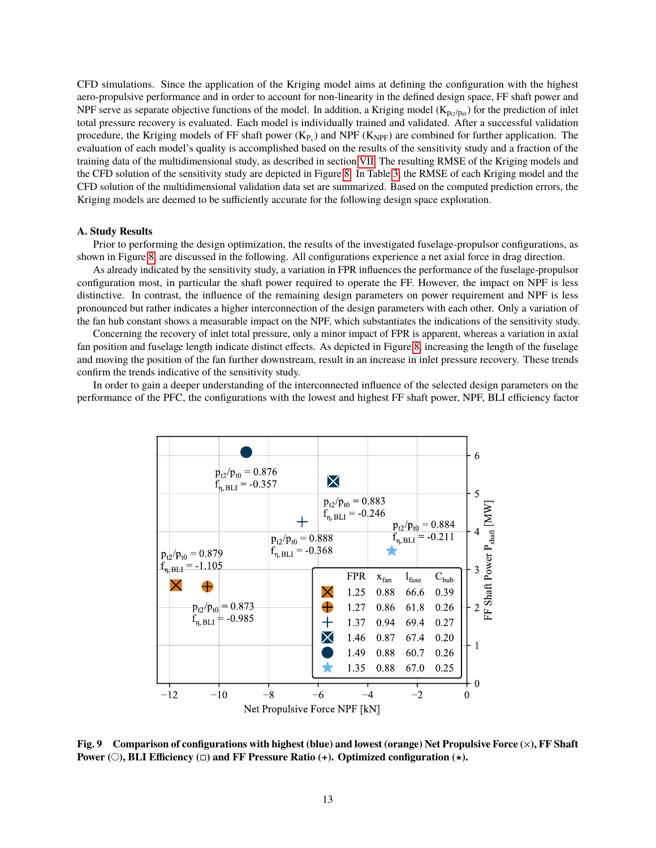CFD simulations. Since the application of the Kriging model aims at defining the configuration with the highest aero-propulsive performance and in order to account for non-linearity in the defined design space, FF shaft power and NPF serve as separate objective functions of the model. In addition, a Kriging model ( $K_{p_2/p_0}$ ) for the prediction of inlet total pressure recovery is evaluated. Each model is individually trained and validated. After a successful validation procedure, the Kriging models of FF shaft power  $(K_{P_s})$  and NPF  $(K_{NPF})$  are combined for further application. The evaluation of each model's quality is accomplished based on the results of the sensitivity study and a fraction of the training data of the multidimensional study, as described in section [VII.](#page-8-1) The resulting RMSE of the Kriging models and the CFD solution of the sensitivity study are depicted in Figure [8.](#page-11-0) In Table [3,](#page-11-1) the RMSE of each Kriging model and the CFD solution of the multidimensional validation data set are summarized. Based on the computed prediction errors, the Kriging models are deemed to be sufficiently accurate for the following design space exploration.

#### <span id="page-12-0"></span>**A. Study Results**

Prior to performing the design optimization, the results of the investigated fuselage-propulsor configurations, as shown in Figure [8,](#page-11-0) are discussed in the following. All configurations experience a net axial force in drag direction.

As already indicated by the sensitivity study, a variation in FPR influences the performance of the fuselage-propulsor configuration most, in particular the shaft power required to operate the FF. However, the impact on NPF is less distinctive. In contrast, the influence of the remaining design parameters on power requirement and NPF is less pronounced but rather indicates a higher interconnection of the design parameters with each other. Only a variation of the fan hub constant shows a measurable impact on the NPF, which substantiates the indications of the sensitivity study.

Concerning the recovery of inlet total pressure, only a minor impact of FPR is apparent, whereas a variation in axial fan position and fuselage length indicate distinct effects. As depicted in Figure [8,](#page-11-0) increasing the length of the fuselage and moving the position of the fan further downstream, result in an increase in inlet pressure recovery. These trends confirm the trends indicative of the sensitivity study.

<span id="page-12-1"></span>In order to gain a deeper understanding of the interconnected influence of the selected design parameters on the performance of the PFC, the configurations with the lowest and highest FF shaft power, NPF, BLI efficiency factor



**Fig. 9 Comparison of configurations with highest (blue) and lowest (orange) Net Propulsive Force (**×**), FF Shaft Power** ( $\odot$ ), **BLI Efficiency** ( $\Box$ ) and FF Pressure Ratio (+). Optimized configuration ( $\star$ ).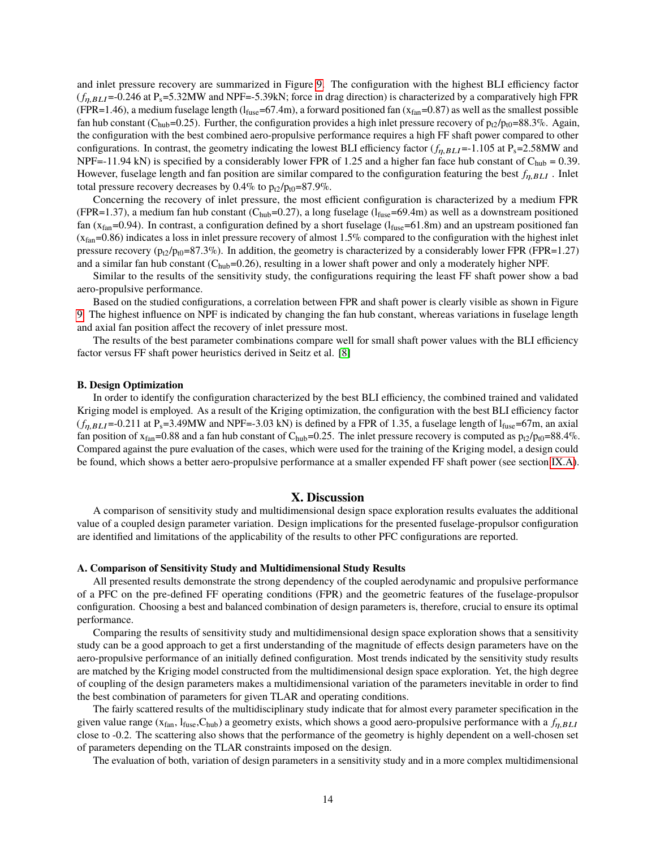and inlet pressure recovery are summarized in Figure [9.](#page-12-1) The configuration with the highest BLI efficiency factor  $(f_{n,BLI}$ =-0.246 at P<sub>s</sub>=5.32MW and NPF=-5.39kN; force in drag direction) is characterized by a comparatively high FPR (FPR=1.46), a medium fuselage length ( $l_{\text{fuse}}=67.4$ m), a forward positioned fan ( $x_{\text{fan}}=0.87$ ) as well as the smallest possible fan hub constant (C<sub>hub</sub>=0.25). Further, the configuration provides a high inlet pressure recovery of  $p_{t2}/p_{t0}=88.3\%$ . Again, the configuration with the best combined aero-propulsive performance requires a high FF shaft power compared to other configurations. In contrast, the geometry indicating the lowest BLI efficiency factor  $(f_{n,BLI}$ =-1.105 at P<sub>s</sub>=2.58MW and NPF=-11.94 kN) is specified by a considerably lower FPR of 1.25 and a higher fan face hub constant of  $C_{\text{hub}} = 0.39$ . However, fuselage length and fan position are similar compared to the configuration featuring the best  $f_{n,BLI}$ . Inlet total pressure recovery decreases by  $0.4\%$  to  $p_{t2}/p_{t0} = 87.9\%$ .

Concerning the recovery of inlet pressure, the most efficient configuration is characterized by a medium FPR (FPR=1.37), a medium fan hub constant (C<sub>hub</sub>=0.27), a long fuselage ( $l_{\text{fuse}}$ =69.4m) as well as a downstream positioned fan ( $x_{fan}$ =0.94). In contrast, a configuration defined by a short fuselage ( $l_{fuse}$ =61.8m) and an upstream positioned fan  $(x_{fan}=0.86)$  indicates a loss in inlet pressure recovery of almost 1.5% compared to the configuration with the highest inlet pressure recovery ( $p_{12}/p_{10}=87.3\%$ ). In addition, the geometry is characterized by a considerably lower FPR (FPR=1.27) and a similar fan hub constant ( $C_{\text{hub}}=0.26$ ), resulting in a lower shaft power and only a moderately higher NPF.

Similar to the results of the sensitivity study, the configurations requiring the least FF shaft power show a bad aero-propulsive performance.

Based on the studied configurations, a correlation between FPR and shaft power is clearly visible as shown in Figure [9.](#page-12-1) The highest influence on NPF is indicated by changing the fan hub constant, whereas variations in fuselage length and axial fan position affect the recovery of inlet pressure most.

The results of the best parameter combinations compare well for small shaft power values with the BLI efficiency factor versus FF shaft power heuristics derived in Seitz et al. [\[8\]](#page-16-4)

#### **B. Design Optimization**

In order to identify the configuration characterized by the best BLI efficiency, the combined trained and validated Kriging model is employed. As a result of the Kriging optimization, the configuration with the best BLI efficiency factor  $(f_{\eta,BLI}$ =-0.211 at P<sub>s</sub>=3.49MW and NPF=-3.03 kN) is defined by a FPR of 1.35, a fuselage length of l<sub>fuse</sub>=67m, an axial fan position of  $x_{fan} = 0.88$  and a fan hub constant of  $C_{hub} = 0.25$ . The inlet pressure recovery is computed as  $p_{12}/p_{10} = 88.4\%$ . Compared against the pure evaluation of the cases, which were used for the training of the Kriging model, a design could be found, which shows a better aero-propulsive performance at a smaller expended FF shaft power (see section [IX.A\)](#page-12-0).

# **X. Discussion**

A comparison of sensitivity study and multidimensional design space exploration results evaluates the additional value of a coupled design parameter variation. Design implications for the presented fuselage-propulsor configuration are identified and limitations of the applicability of the results to other PFC configurations are reported.

#### **A. Comparison of Sensitivity Study and Multidimensional Study Results**

All presented results demonstrate the strong dependency of the coupled aerodynamic and propulsive performance of a PFC on the pre-defined FF operating conditions (FPR) and the geometric features of the fuselage-propulsor configuration. Choosing a best and balanced combination of design parameters is, therefore, crucial to ensure its optimal performance.

Comparing the results of sensitivity study and multidimensional design space exploration shows that a sensitivity study can be a good approach to get a first understanding of the magnitude of effects design parameters have on the aero-propulsive performance of an initially defined configuration. Most trends indicated by the sensitivity study results are matched by the Kriging model constructed from the multidimensional design space exploration. Yet, the high degree of coupling of the design parameters makes a multidimensional variation of the parameters inevitable in order to find the best combination of parameters for given TLAR and operating conditions.

The fairly scattered results of the multidisciplinary study indicate that for almost every parameter specification in the given value range ( $x_{fan}$ , l<sub>fuse</sub>,C<sub>hub</sub>) a geometry exists, which shows a good aero-propulsive performance with a  $f_{n,BLI}$ close to -0.2. The scattering also shows that the performance of the geometry is highly dependent on a well-chosen set of parameters depending on the TLAR constraints imposed on the design.

The evaluation of both, variation of design parameters in a sensitivity study and in a more complex multidimensional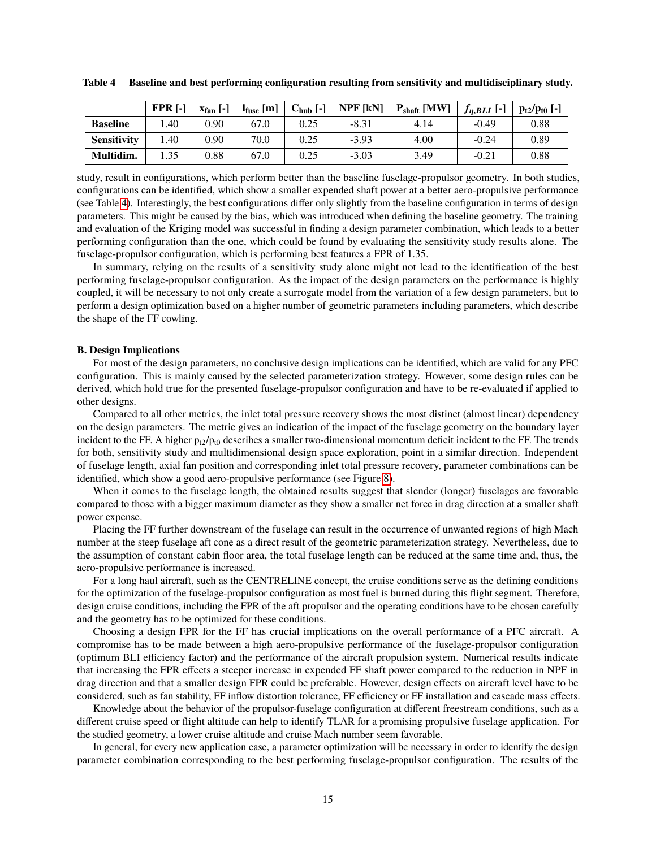|                    | <b>FPR [-]</b> | $x_{fan}$ [-] | $I_{\text{fuse}}$ [m] | $C_{hub}$ [-] | <b>NPF</b> [kN] | $P_{\text{shaff}}$ [MW] | $f_{\eta, BLI}$ [-] | $p_{t2}/p_{t0}$ [-] |
|--------------------|----------------|---------------|-----------------------|---------------|-----------------|-------------------------|---------------------|---------------------|
| <b>Baseline</b>    | .40            | 0.90          | 67.0                  | 0.25          | $-8.31$         | 4.14                    | $-0.49$             | 0.88                |
| <b>Sensitivity</b> | .40            | 0.90          | 70.0                  | 0.25          | $-3.93$         | 4.00                    | $-0.24$             | 0.89                |
| Multidim.          | . 35           | 0.88          | 67.0                  | 0.25          | $-3.03$         | 3.49                    | $-0.21$             | 0.88                |

<span id="page-14-0"></span>**Table 4 Baseline and best performing configuration resulting from sensitivity and multidisciplinary study.**

study, result in configurations, which perform better than the baseline fuselage-propulsor geometry. In both studies, configurations can be identified, which show a smaller expended shaft power at a better aero-propulsive performance (see Table [4\)](#page-14-0). Interestingly, the best configurations differ only slightly from the baseline configuration in terms of design parameters. This might be caused by the bias, which was introduced when defining the baseline geometry. The training and evaluation of the Kriging model was successful in finding a design parameter combination, which leads to a better performing configuration than the one, which could be found by evaluating the sensitivity study results alone. The fuselage-propulsor configuration, which is performing best features a FPR of 1.35.

In summary, relying on the results of a sensitivity study alone might not lead to the identification of the best performing fuselage-propulsor configuration. As the impact of the design parameters on the performance is highly coupled, it will be necessary to not only create a surrogate model from the variation of a few design parameters, but to perform a design optimization based on a higher number of geometric parameters including parameters, which describe the shape of the FF cowling.

#### **B. Design Implications**

For most of the design parameters, no conclusive design implications can be identified, which are valid for any PFC configuration. This is mainly caused by the selected parameterization strategy. However, some design rules can be derived, which hold true for the presented fuselage-propulsor configuration and have to be re-evaluated if applied to other designs.

Compared to all other metrics, the inlet total pressure recovery shows the most distinct (almost linear) dependency on the design parameters. The metric gives an indication of the impact of the fuselage geometry on the boundary layer incident to the FF. A higher  $p_{t2}/p_{t0}$  describes a smaller two-dimensional momentum deficit incident to the FF. The trends for both, sensitivity study and multidimensional design space exploration, point in a similar direction. Independent of fuselage length, axial fan position and corresponding inlet total pressure recovery, parameter combinations can be identified, which show a good aero-propulsive performance (see Figure [8\)](#page-11-0).

When it comes to the fuselage length, the obtained results suggest that slender (longer) fuselages are favorable compared to those with a bigger maximum diameter as they show a smaller net force in drag direction at a smaller shaft power expense.

Placing the FF further downstream of the fuselage can result in the occurrence of unwanted regions of high Mach number at the steep fuselage aft cone as a direct result of the geometric parameterization strategy. Nevertheless, due to the assumption of constant cabin floor area, the total fuselage length can be reduced at the same time and, thus, the aero-propulsive performance is increased.

For a long haul aircraft, such as the CENTRELINE concept, the cruise conditions serve as the defining conditions for the optimization of the fuselage-propulsor configuration as most fuel is burned during this flight segment. Therefore, design cruise conditions, including the FPR of the aft propulsor and the operating conditions have to be chosen carefully and the geometry has to be optimized for these conditions.

Choosing a design FPR for the FF has crucial implications on the overall performance of a PFC aircraft. A compromise has to be made between a high aero-propulsive performance of the fuselage-propulsor configuration (optimum BLI efficiency factor) and the performance of the aircraft propulsion system. Numerical results indicate that increasing the FPR effects a steeper increase in expended FF shaft power compared to the reduction in NPF in drag direction and that a smaller design FPR could be preferable. However, design effects on aircraft level have to be considered, such as fan stability, FF inflow distortion tolerance, FF efficiency or FF installation and cascade mass effects.

Knowledge about the behavior of the propulsor-fuselage configuration at different freestream conditions, such as a different cruise speed or flight altitude can help to identify TLAR for a promising propulsive fuselage application. For the studied geometry, a lower cruise altitude and cruise Mach number seem favorable.

In general, for every new application case, a parameter optimization will be necessary in order to identify the design parameter combination corresponding to the best performing fuselage-propulsor configuration. The results of the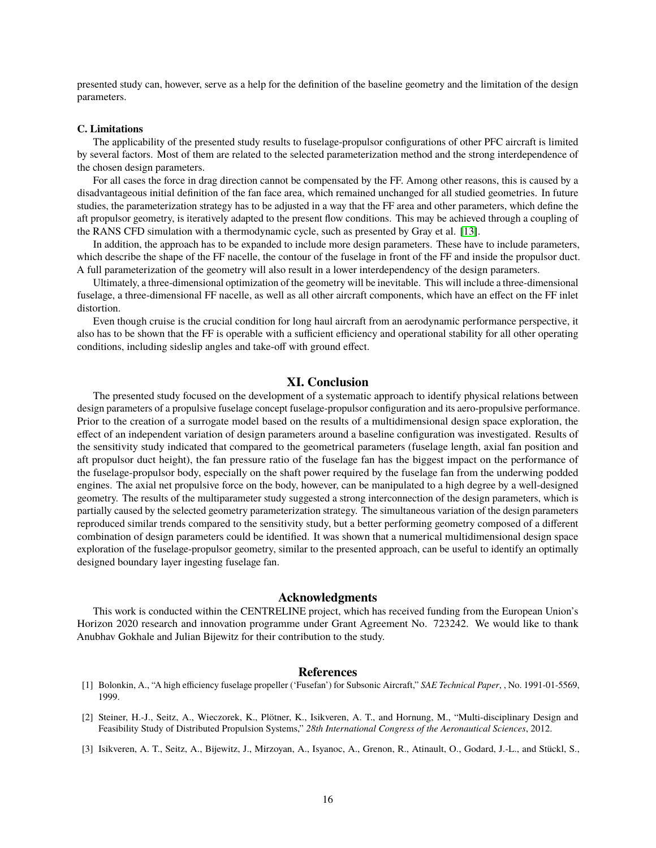presented study can, however, serve as a help for the definition of the baseline geometry and the limitation of the design parameters.

#### **C. Limitations**

The applicability of the presented study results to fuselage-propulsor configurations of other PFC aircraft is limited by several factors. Most of them are related to the selected parameterization method and the strong interdependence of the chosen design parameters.

For all cases the force in drag direction cannot be compensated by the FF. Among other reasons, this is caused by a disadvantageous initial definition of the fan face area, which remained unchanged for all studied geometries. In future studies, the parameterization strategy has to be adjusted in a way that the FF area and other parameters, which define the aft propulsor geometry, is iteratively adapted to the present flow conditions. This may be achieved through a coupling of the RANS CFD simulation with a thermodynamic cycle, such as presented by Gray et al. [\[13\]](#page-16-8).

In addition, the approach has to be expanded to include more design parameters. These have to include parameters, which describe the shape of the FF nacelle, the contour of the fuselage in front of the FF and inside the propulsor duct. A full parameterization of the geometry will also result in a lower interdependency of the design parameters.

Ultimately, a three-dimensional optimization of the geometry will be inevitable. This will include a three-dimensional fuselage, a three-dimensional FF nacelle, as well as all other aircraft components, which have an effect on the FF inlet distortion.

Even though cruise is the crucial condition for long haul aircraft from an aerodynamic performance perspective, it also has to be shown that the FF is operable with a sufficient efficiency and operational stability for all other operating conditions, including sideslip angles and take-off with ground effect.

# **XI. Conclusion**

The presented study focused on the development of a systematic approach to identify physical relations between design parameters of a propulsive fuselage concept fuselage-propulsor configuration and its aero-propulsive performance. Prior to the creation of a surrogate model based on the results of a multidimensional design space exploration, the effect of an independent variation of design parameters around a baseline configuration was investigated. Results of the sensitivity study indicated that compared to the geometrical parameters (fuselage length, axial fan position and aft propulsor duct height), the fan pressure ratio of the fuselage fan has the biggest impact on the performance of the fuselage-propulsor body, especially on the shaft power required by the fuselage fan from the underwing podded engines. The axial net propulsive force on the body, however, can be manipulated to a high degree by a well-designed geometry. The results of the multiparameter study suggested a strong interconnection of the design parameters, which is partially caused by the selected geometry parameterization strategy. The simultaneous variation of the design parameters reproduced similar trends compared to the sensitivity study, but a better performing geometry composed of a different combination of design parameters could be identified. It was shown that a numerical multidimensional design space exploration of the fuselage-propulsor geometry, similar to the presented approach, can be useful to identify an optimally designed boundary layer ingesting fuselage fan.

#### **Acknowledgments**

This work is conducted within the CENTRELINE project, which has received funding from the European Union's Horizon 2020 research and innovation programme under Grant Agreement No. 723242. We would like to thank Anubhav Gokhale and Julian Bijewitz for their contribution to the study.

#### **References**

- <span id="page-15-0"></span>[1] Bolonkin, A., "A high efficiency fuselage propeller ('Fusefan') for Subsonic Aircraft," *SAE Technical Paper*, , No. 1991-01-5569, 1999.
- <span id="page-15-1"></span>[2] Steiner, H.-J., Seitz, A., Wieczorek, K., Plötner, K., Isikveren, A. T., and Hornung, M., "Multi-disciplinary Design and Feasibility Study of Distributed Propulsion Systems," *28th International Congress of the Aeronautical Sciences*, 2012.
- <span id="page-15-2"></span>[3] Isikveren, A. T., Seitz, A., Bijewitz, J., Mirzoyan, A., Isyanoc, A., Grenon, R., Atinault, O., Godard, J.-L., and Stückl, S.,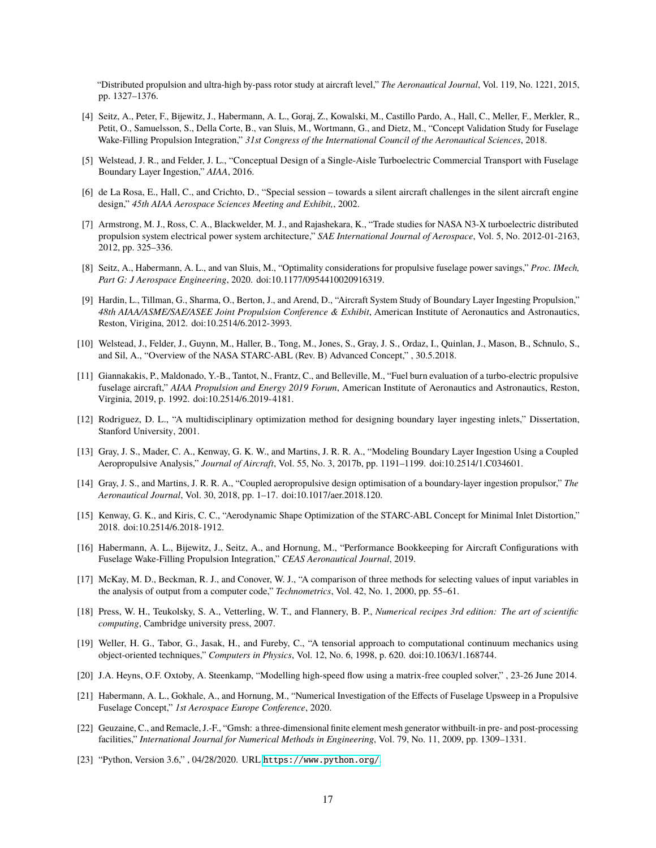"Distributed propulsion and ultra-high by-pass rotor study at aircraft level," *The Aeronautical Journal*, Vol. 119, No. 1221, 2015, pp. 1327–1376.

- <span id="page-16-0"></span>[4] Seitz, A., Peter, F., Bijewitz, J., Habermann, A. L., Goraj, Z., Kowalski, M., Castillo Pardo, A., Hall, C., Meller, F., Merkler, R., Petit, O., Samuelsson, S., Della Corte, B., van Sluis, M., Wortmann, G., and Dietz, M., "Concept Validation Study for Fuselage Wake-Filling Propulsion Integration," *31st Congress of the International Council of the Aeronautical Sciences*, 2018.
- <span id="page-16-1"></span>[5] Welstead, J. R., and Felder, J. L., "Conceptual Design of a Single-Aisle Turboelectric Commercial Transport with Fuselage Boundary Layer Ingestion," *AIAA*, 2016.
- <span id="page-16-2"></span>[6] de La Rosa, E., Hall, C., and Crichto, D., "Special session – towards a silent aircraft challenges in the silent aircraft engine design," *45th AIAA Aerospace Sciences Meeting and Exhibit,*, 2002.
- <span id="page-16-3"></span>[7] Armstrong, M. J., Ross, C. A., Blackwelder, M. J., and Rajashekara, K., "Trade studies for NASA N3-X turboelectric distributed propulsion system electrical power system architecture," *SAE International Journal of Aerospace*, Vol. 5, No. 2012-01-2163, 2012, pp. 325–336.
- <span id="page-16-4"></span>[8] Seitz, A., Habermann, A. L., and van Sluis, M., "Optimality considerations for propulsive fuselage power savings," *Proc. IMech, Part G: J Aerospace Engineering*, 2020. doi:10.1177/0954410020916319.
- [9] Hardin, L., Tillman, G., Sharma, O., Berton, J., and Arend, D., "Aircraft System Study of Boundary Layer Ingesting Propulsion," 48th AIAA/ASME/SAE/ASEE Joint Propulsion Conference & Exhibit, American Institute of Aeronautics and Astronautics, Reston, Virigina, 2012. doi:10.2514/6.2012-3993.
- <span id="page-16-5"></span>[10] Welstead, J., Felder, J., Guynn, M., Haller, B., Tong, M., Jones, S., Gray, J. S., Ordaz, I., Quinlan, J., Mason, B., Schnulo, S., and Sil, A., "Overview of the NASA STARC-ABL (Rev. B) Advanced Concept," , 30.5.2018.
- <span id="page-16-6"></span>[11] Giannakakis, P., Maldonado, Y.-B., Tantot, N., Frantz, C., and Belleville, M., "Fuel burn evaluation of a turbo-electric propulsive fuselage aircraft," AIAA Propulsion and Energy 2019 Forum, American Institute of Aeronautics and Astronautics, Reston, Virginia, 2019, p. 1992. doi:10.2514/6.2019-4181.
- <span id="page-16-7"></span>[12] Rodriguez, D. L., "A multidisciplinary optimization method for designing boundary layer ingesting inlets," Dissertation, Stanford University, 2001.
- <span id="page-16-8"></span>[13] Gray, J. S., Mader, C. A., Kenway, G. K. W., and Martins, J. R. R. A., "Modeling Boundary Layer Ingestion Using a Coupled Aeropropulsive Analysis," *Journal of Aircraft*, Vol. 55, No. 3, 2017b, pp. 1191–1199. doi:10.2514/1.C034601.
- <span id="page-16-9"></span>[14] Gray, J. S., and Martins, J. R. R. A., "Coupled aeropropulsive design optimisation of a boundary-layer ingestion propulsor," *The Aeronautical Journal*, Vol. 30, 2018, pp. 1–17. doi:10.1017/aer.2018.120.
- <span id="page-16-10"></span>[15] Kenway, G. K., and Kiris, C. C., "Aerodynamic Shape Optimization of the STARC-ABL Concept for Minimal Inlet Distortion," 2018. doi:10.2514/6.2018-1912.
- <span id="page-16-11"></span>[16] Habermann, A. L., Bijewitz, J., Seitz, A., and Hornung, M., "Performance Bookkeeping for Aircraft Configurations with Fuselage Wake-Filling Propulsion Integration," *CEAS Aeronautical Journal*, 2019.
- <span id="page-16-12"></span>[17] McKay, M. D., Beckman, R. J., and Conover, W. J., "A comparison of three methods for selecting values of input variables in the analysis of output from a computer code," *Technometrics*, Vol. 42, No. 1, 2000, pp. 55–61.
- <span id="page-16-13"></span>[18] Press, W. H., Teukolsky, S. A., Vetterling, W. T., and Flannery, B. P., *Numerical recipes 3rd edition: The art of scientific computing*, Cambridge university press, 2007.
- <span id="page-16-14"></span>[19] Weller, H. G., Tabor, G., Jasak, H., and Fureby, C., "A tensorial approach to computational continuum mechanics using object-oriented techniques," *Computers in Physics*, Vol. 12, No. 6, 1998, p. 620. doi:10.1063/1.168744.
- <span id="page-16-15"></span>[20] J.A. Heyns, O.F. Oxtoby, A. Steenkamp, "Modelling high-speed flow using a matrix-free coupled solver," , 23-26 June 2014.
- <span id="page-16-16"></span>[21] Habermann, A. L., Gokhale, A., and Hornung, M., "Numerical Investigation of the Effects of Fuselage Upsweep in a Propulsive Fuselage Concept," *1st Aerospace Europe Conference*, 2020.
- <span id="page-16-17"></span>[22] Geuzaine, C., and Remacle, J.-F., "Gmsh: a three-dimensional finite element mesh generator withbuilt-in pre- and post-processing facilities," *International Journal for Numerical Methods in Engineering*, Vol. 79, No. 11, 2009, pp. 1309–1331.
- <span id="page-16-18"></span>[23] "Python, Version 3.6," , 04/28/2020. URL <https://www.python.org/>.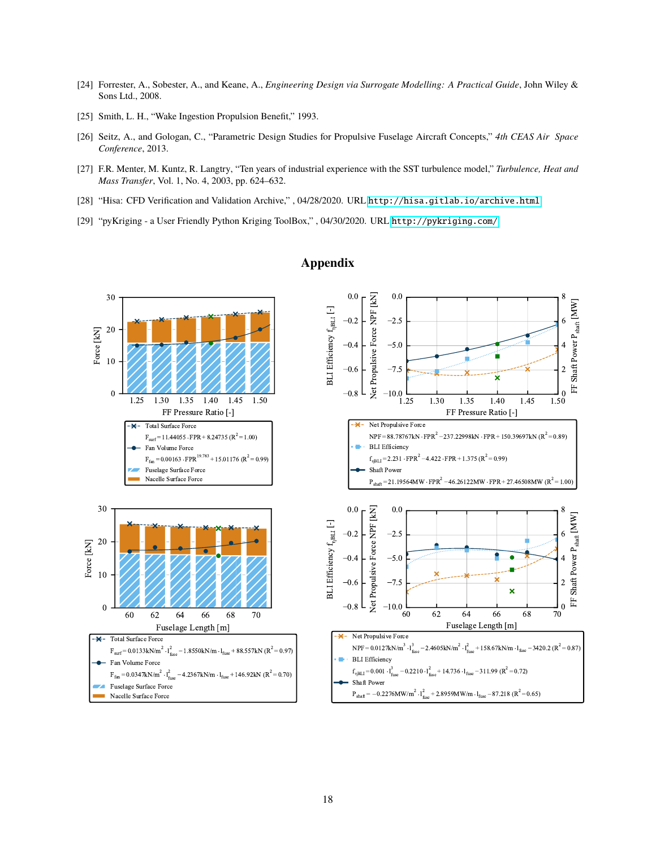- <span id="page-17-0"></span>[24] Forrester, A., Sobester, A., and Keane, A., *Engineering Design via Surrogate Modelling: A Practical Guide*, John Wiley & Sons Ltd., 2008.
- <span id="page-17-1"></span>[25] Smith, L. H., "Wake Ingestion Propulsion Benefit," 1993.
- <span id="page-17-2"></span>[26] Seitz, A., and Gologan, C., "Parametric Design Studies for Propulsive Fuselage Aircraft Concepts," *4th CEAS Air Space Conference*, 2013.
- <span id="page-17-3"></span>[27] F.R. Menter, M. Kuntz, R. Langtry, "Ten years of industrial experience with the SST turbulence model," *Turbulence, Heat and Mass Transfer*, Vol. 1, No. 4, 2003, pp. 624–632.
- <span id="page-17-4"></span>[28] "Hisa: CFD Verification and Validation Archive," , 04/28/2020. URL <http://hisa.gitlab.io/archive.html>.
- <span id="page-17-5"></span>[29] "pyKriging - a User Friendly Python Kriging ToolBox," , 04/30/2020. URL <http://pykriging.com/>.



# **Appendix**

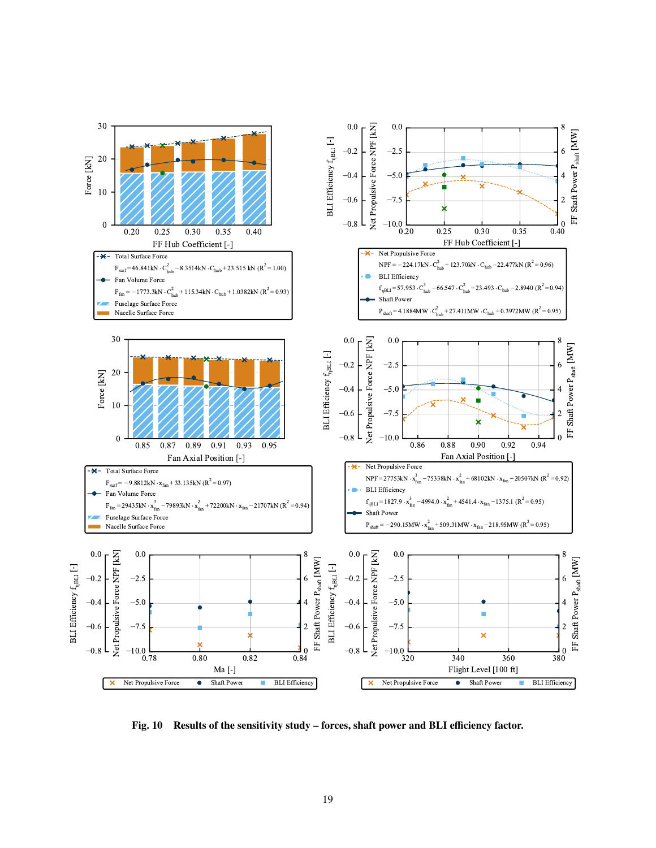<span id="page-18-0"></span>

**Fig. 10 Results of the sensitivity study – forces, shaft power and BLI efficiency factor.**